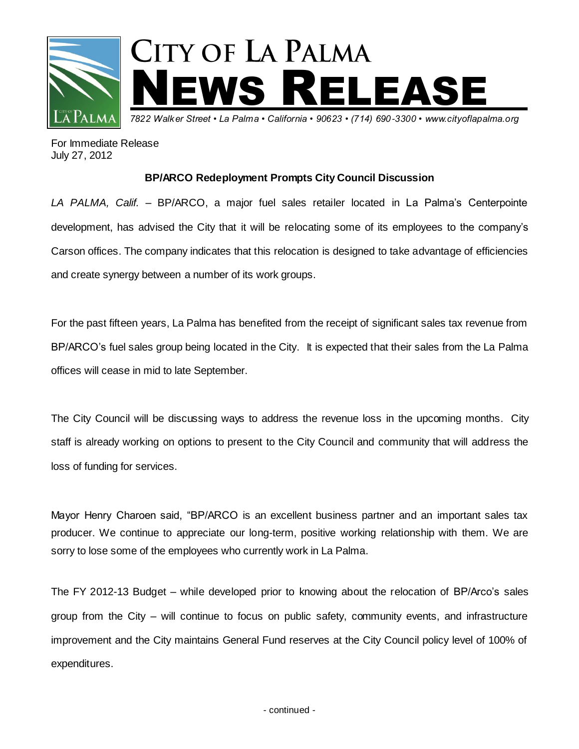

For Immediate Release July 27, 2012

## **BP/ARCO Redeployment Prompts City Council Discussion**

*LA PALMA, Calif.* – BP/ARCO, a major fuel sales retailer located in La Palma's Centerpointe development, has advised the City that it will be relocating some of its employees to the company's Carson offices. The company indicates that this relocation is designed to take advantage of efficiencies and create synergy between a number of its work groups.

For the past fifteen years, La Palma has benefited from the receipt of significant sales tax revenue from BP/ARCO's fuel sales group being located in the City. It is expected that their sales from the La Palma offices will cease in mid to late September.

The City Council will be discussing ways to address the revenue loss in the upcoming months. City staff is already working on options to present to the City Council and community that will address the loss of funding for services.

Mayor Henry Charoen said, "BP/ARCO is an excellent business partner and an important sales tax producer. We continue to appreciate our long-term, positive working relationship with them. We are sorry to lose some of the employees who currently work in La Palma.

The FY 2012-13 Budget – while developed prior to knowing about the relocation of BP/Arco's sales group from the City – will continue to focus on public safety, community events, and infrastructure improvement and the City maintains General Fund reserves at the City Council policy level of 100% of expenditures.